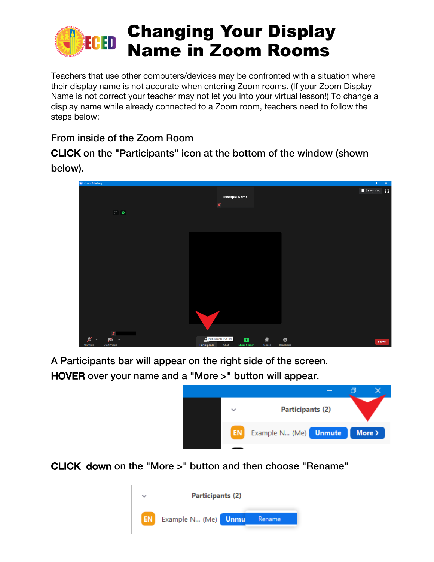

Teachers that use other computers/devices may be confronted with a situation where their display name is not accurate when entering Zoom rooms. (If your Zoom Display Name is not correct your teacher may not let you into your virtual lesson!) To change a display name while already connected to a Zoom room, teachers need to follow the steps below:

## From inside of the Zoom Room

CLICK on the "Participants" icon at the bottom of the window (shown

below).



A Participants bar will appear on the right side of the screen.

HOVER over your name and a "More >" button will appear.



CLICK down on the "More >" button and then choose "Rename"

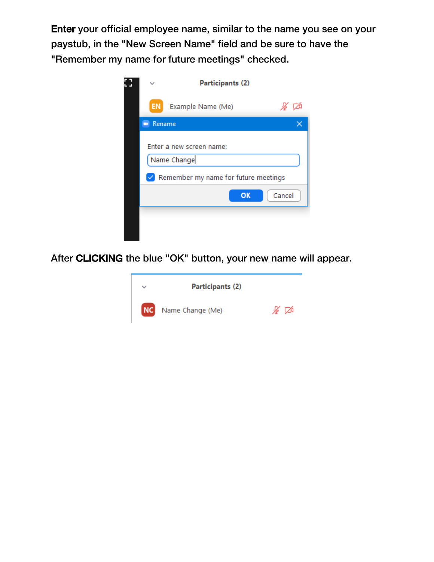Enter your official employee name, similar to the name you see on your paystub, in the "New Screen Name" field and be sure to have the "Remember my name for future meetings" checked.



After CLICKING the blue "OK" button, your new name will appear.

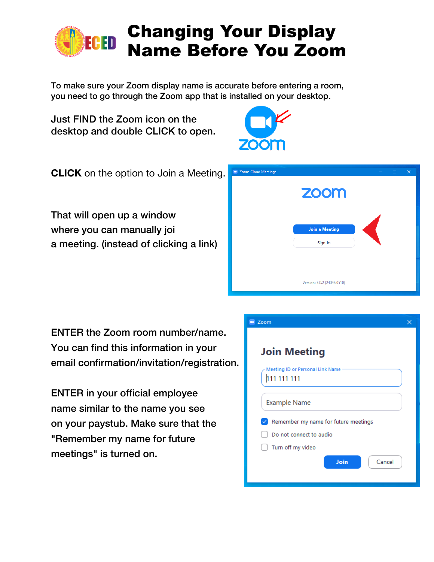

To make sure your Zoom display name is accurate before entering a room, you need to go through the Zoom app that is installed on your desktop.

Just FIND the Zoom icon on the desktop and double CLICK to open.



**CLICK** on the option to Join a Meeting.

That will open up a window where you can manually joi a meeting. (instead of clicking a link)



ENTER the Zoom room number/name. You can find this information in your email confirmation/invitation/registration.

ENTER in your official employee name similar to the name you see on your paystub. Make sure that the "Remember my name for future meetings" is turned on.

| Zoom                                                 |  |
|------------------------------------------------------|--|
| <b>Join Meeting</b>                                  |  |
| Meeting ID or Personal Link Name<br>111 111 111      |  |
| <b>Example Name</b>                                  |  |
| Remember my name for future meetings<br>$\checkmark$ |  |
| Do not connect to audio                              |  |
| Turn off my video                                    |  |
| Join<br>Cancel                                       |  |